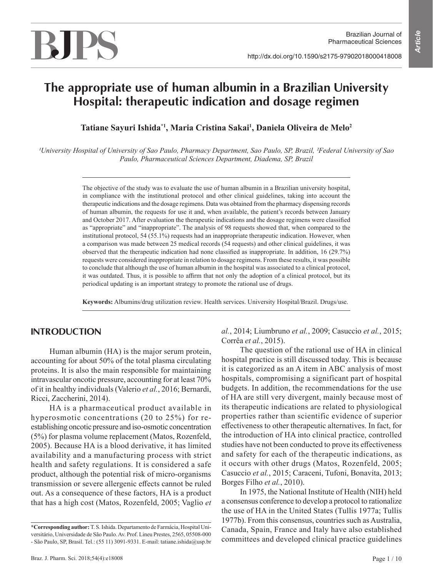# **BJPS**

## **The appropriate use of human albumin in a Brazilian University Hospital: therapeutic indication and dosage regimen**

**Tatiane Sayuri Ishida\*1, Maria Cristina Sakai1 , Daniela Oliveira de Melo2**

*¹University Hospital of University of Sao Paulo, Pharmacy Department, Sao Paulo, SP, Brazil, ²Federal University of Sao Paulo, Pharmaceutical Sciences Department, Diadema, SP, Brazil*

> The objective of the study was to evaluate the use of human albumin in a Brazilian university hospital, in compliance with the institutional protocol and other clinical guidelines, taking into account the therapeutic indications and the dosage regimens. Data was obtained from the pharmacy dispensing records of human albumin, the requests for use it and, when available, the patient's records between January and October 2017. After evaluation the therapeutic indications and the dosage regimens were classified as "appropriate" and "inappropriate". The analysis of 98 requests showed that, when compared to the institutional protocol, 54 (55.1%) requests had an inappropriate therapeutic indication. However, when a comparison was made between 25 medical records (54 requests) and other clinical guidelines, it was observed that the therapeutic indication had none classified as inappropriate. In addition, 16 (29.7%) requests were considered inappropriate in relation to dosage regimens. From these results, it was possible to conclude that although the use of human albumin in the hospital was associated to a clinical protocol, it was outdated. Thus, it is possible to affirm that not only the adoption of a clinical protocol, but its periodical updating is an important strategy to promote the rational use of drugs.

**Keywords:** Albumins/drug utilization review. Health services. University Hospital/Brazil. Drugs/use.

## **INTRODUCTION**

Human albumin (HA) is the major serum protein, accounting for about 50% of the total plasma circulating proteins. It is also the main responsible for maintaining intravascular oncotic pressure, accounting for at least 70% of it in healthy individuals (Valerio *et al.*, 2016; Bernardi, Ricci, Zaccherini, 2014).

HA is a pharmaceutical product available in hyperosmotic concentrations (20 to 25%) for reestablishing oncotic pressure and iso-osmotic concentration (5%) for plasma volume replacement (Matos, Rozenfeld, 2005). Because HA is a blood derivative, it has limited availability and a manufacturing process with strict health and safety regulations. It is considered a safe product, although the potential risk of micro-organisms transmission or severe allergenic effects cannot be ruled out. As a consequence of these factors, HA is a product that has a high cost (Matos, Rozenfeld, 2005; Vaglio *et* 

*al.*, 2014; Liumbruno *et al.*, 2009; Casuccio *et al.*, 2015; Corrêa *et al.*, 2015).

The question of the rational use of HA in clinical hospital practice is still discussed today. This is because it is categorized as an A item in ABC analysis of most hospitals, compromising a significant part of hospital budgets. In addition, the recommendations for the use of HA are still very divergent, mainly because most of its therapeutic indications are related to physiological properties rather than scientific evidence of superior effectiveness to other therapeutic alternatives. In fact, for the introduction of HA into clinical practice, controlled studies have not been conducted to prove its effectiveness and safety for each of the therapeutic indications, as it occurs with other drugs (Matos, Rozenfeld, 2005; Casuccio *et al.*, 2015; Caraceni, Tufoni, Bonavita, 2013; Borges Filho *et al.*, 2010).

In 1975, the National Institute of Health (NIH) held a consensus conference to develop a protocol to rationalize the use of HA in the United States (Tullis 1977a; Tullis 1977b). From this consensus, countries such as Australia, Canada, Spain, France and Italy have also established committees and developed clinical practice guidelines

**<sup>\*</sup>Corresponding author:** T. S. Ishida. Departamento de Farmácia, Hospital Universitário, Universidade de São Paulo. Av. Prof. Lineu Prestes, 2565, 05508-000 - São Paulo, SP, Brasil. Tel.: (55 11) 3091-9331. E-mail: [tatiane.ishida@usp.br](mailto:tatiane.ishida@usp.br)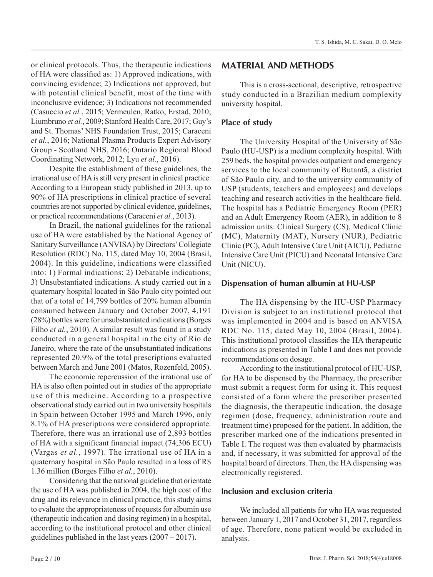or clinical protocols. Thus, the therapeutic indications of HA were classified as: 1) Approved indications, with convincing evidence; 2) Indications not approved, but with potential clinical benefit, most of the time with inconclusive evidence; 3) Indications not recommended (Casuccio *et al.*, 2015; Vermeulen, Ratko, Erstad, 2010; Liumbruno *et al.*, 2009; Stanford Health Care, 2017; Guy's and St. Thomas' NHS Foundation Trust, 2015; Caraceni *et al.*, 2016; National Plasma Products Expert Advisory Group - Scotland NHS, 2016; Ontario Regional Blood Coordinating Network, 2012; Lyu *et al.*, 2016).

Despite the establishment of these guidelines, the irrational use of HA is still very present in clinical practice. According to a European study published in 2013, up to 90% of HA prescriptions in clinical practice of several countries are not supported by clinical evidence, guidelines, or practical recommendations (Caraceni *et al.*, 2013).

In Brazil, the national guidelines for the rational use of HA were established by the National Agency of Sanitary Surveillance (ANVISA) by Directors' Collegiate Resolution (RDC) No. 115, dated May 10, 2004 (Brasil, 2004). In this guideline, indications were classified into: 1) Formal indications; 2) Debatable indications; 3) Unsubstantiated indications. A study carried out in a quaternary hospital located in São Paulo city pointed out that of a total of 14,799 bottles of 20% human albumin consumed between January and October 2007, 4,191 (28%) bottles were for unsubstantiated indications (Borges Filho *et al.*, 2010). A similar result was found in a study conducted in a general hospital in the city of Rio de Janeiro, where the rate of the unsubstantiated indications represented 20.9% of the total prescriptions evaluated between March and June 2001 (Matos, Rozenfeld, 2005).

The economic repercussion of the irrational use of HA is also often pointed out in studies of the appropriate use of this medicine. According to a prospective observational study carried out in two university hospitals in Spain between October 1995 and March 1996, only 8.1% of HA prescriptions were considered appropriate. Therefore, there was an irrational use of 2,893 bottles of HA with a significant financial impact (74,306 ECU) (Vargas *et al.*, 1997). The irrational use of HA in a quaternary hospital in São Paulo resulted in a loss of R\$ 1.36 million (Borges Filho *et al.*, 2010).

Considering that the national guideline that orientate the use of HA was published in 2004, the high cost of the drug and its relevance in clinical practice, this study aims to evaluate the appropriateness of requests for albumin use (therapeutic indication and dosing regimen) in a hospital, according to the institutional protocol and other clinical guidelines published in the last years (2007 – 2017).

## **MATERIAL AND METHODS**

This is a cross-sectional, descriptive, retrospective study conducted in a Brazilian medium complexity university hospital.

## **Place of study**

The University Hospital of the University of São Paulo (HU-USP) is a medium complexity hospital. With 259 beds, the hospital provides outpatient and emergency services to the local community of Butantã, a district of São Paulo city, and to the university community of USP (students, teachers and employees) and develops teaching and research activities in the healthcare field. The hospital has a Pediatric Emergency Room (PER) and an Adult Emergency Room (AER), in addition to 8 admission units: Clinical Surgery (CS), Medical Clinic (MC), Maternity (MAT), Nursery (NUR), Pediatric Clinic (PC), Adult Intensive Care Unit (AICU), Pediatric Intensive Care Unit (PICU) and Neonatal Intensive Care Unit (NICU).

## **Dispensation of human albumin at HU-USP**

The HA dispensing by the HU-USP Pharmacy Division is subject to an institutional protocol that was implemented in 2004 and is based on ANVISA RDC No. 115, dated May 10, 2004 (Brasil, 2004). This institutional protocol classifies the HA therapeutic indications as presented in Table I and does not provide recommendations on dosage.

According to the institutional protocol of HU-USP, for HA to be dispensed by the Pharmacy, the prescriber must submit a request form for using it. This request consisted of a form where the prescriber presented the diagnosis, the therapeutic indication, the dosage regimen (dose, frequency, administration route and treatment time) proposed for the patient. In addition, the prescriber marked one of the indications presented in Table I. The request was then evaluated by pharmacists and, if necessary, it was submitted for approval of the hospital board of directors. Then, the HA dispensing was electronically registered.

## **Inclusion and exclusion criteria**

We included all patients for who HA was requested between January 1, 2017 and October 31, 2017, regardless of age. Therefore, none patient would be excluded in analysis.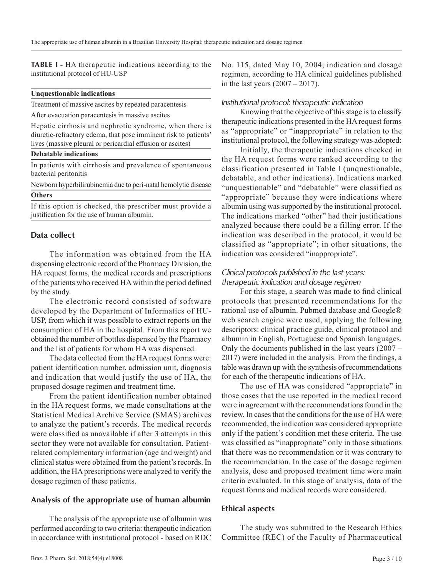**TABLE I** - HA therapeutic indications according to the institutional protocol of HU-USP

#### **Unquestionable indications**

Treatment of massive ascites by repeated paracentesis

After evacuation paracentesis in massive ascites

Hepatic cirrhosis and nephrotic syndrome, when there is diuretic-refractory edema, that pose imminent risk to patients' lives (massive pleural or pericardial effusion or ascites)

#### **Debatable indications**

In patients with cirrhosis and prevalence of spontaneous bacterial peritonitis

Newborn hyperbilirubinemia due to peri-natal hemolytic disease **Others**

If this option is checked, the prescriber must provide a justification for the use of human albumin.

#### **Data collect**

The information was obtained from the HA dispensing electronic record of the Pharmacy Division, the HA request forms, the medical records and prescriptions of the patients who received HA within the period defined by the study.

The electronic record consisted of software developed by the Department of Informatics of HU-USP, from which it was possible to extract reports on the consumption of HA in the hospital. From this report we obtained the number of bottles dispensed by the Pharmacy and the list of patients for whom HA was dispensed.

The data collected from the HA request forms were: patient identification number, admission unit, diagnosis and indication that would justify the use of HA, the proposed dosage regimen and treatment time.

From the patient identification number obtained in the HA request forms, we made consultations at the Statistical Medical Archive Service (SMAS) archives to analyze the patient's records. The medical records were classified as unavailable if after 3 attempts in this sector they were not available for consultation. Patientrelated complementary information (age and weight) and clinical status were obtained from the patient's records. In addition, the HA prescriptions were analyzed to verify the dosage regimen of these patients.

#### **Analysis of the appropriate use of human albumin**

The analysis of the appropriate use of albumin was performed according to two criteria: therapeutic indication in accordance with institutional protocol - based on RDC No. 115, dated May 10, 2004; indication and dosage regimen, according to HA clinical guidelines published in the last years  $(2007 – 2017)$ .

#### *Institutional protocol: therapeutic indication*

Knowing that the objective of this stage is to classify therapeutic indications presented in the HA request forms as "appropriate" or "inappropriate" in relation to the institutional protocol, the following strategy was adopted:

Initially, the therapeutic indications checked in the HA request forms were ranked according to the classification presented in Table I (unquestionable, debatable, and other indications). Indications marked "unquestionable" and "debatable" were classified as "appropriate" because they were indications where albumin using was supported by the institutional protocol. The indications marked "other" had their justifications analyzed because there could be a filling error. If the indication was described in the protocol, it would be classified as "appropriate"; in other situations, the indication was considered "inappropriate".

#### *Clinical protocols published in the last years: therapeutic indication and dosage regimen*

For this stage, a search was made to find clinical protocols that presented recommendations for the rational use of albumin. Pubmed database and Google® web search engine were used, applying the following descriptors: clinical practice guide, clinical protocol and albumin in English, Portuguese and Spanish languages. Only the documents published in the last years (2007 – 2017) were included in the analysis. From the findings, a table was drawn up with the synthesis of recommendations for each of the therapeutic indications of HA.

The use of HA was considered "appropriate" in those cases that the use reported in the medical record were in agreement with the recommendations found in the review. In cases that the conditions for the use of HA were recommended, the indication was considered appropriate only if the patient's condition met these criteria. The use was classified as "inappropriate" only in those situations that there was no recommendation or it was contrary to the recommendation. In the case of the dosage regimen analysis, dose and proposed treatment time were main criteria evaluated. In this stage of analysis, data of the request forms and medical records were considered.

#### **Ethical aspects**

The study was submitted to the Research Ethics Committee (REC) of the Faculty of Pharmaceutical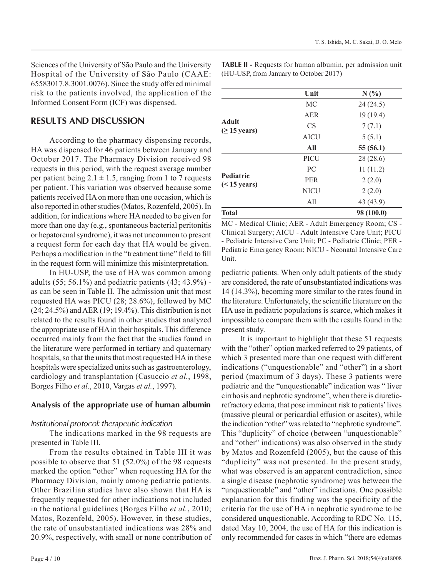Sciences of the University of São Paulo and the University Hospital of the University of São Paulo (CAAE: 65583017.8.3001.0076). Since the study offered minimal risk to the patients involved, the application of the Informed Consent Form (ICF) was dispensed.

## **RESULTS AND DISCUSSION**

According to the pharmacy dispensing records, HA was dispensed for 46 patients between January and October 2017. The Pharmacy Division received 98 requests in this period, with the request average number per patient being  $2.1 \pm 1.5$ , ranging from 1 to 7 requests per patient. This variation was observed because some patients received HA on more than one occasion, which is also reported in other studies (Matos, Rozenfeld, 2005). In addition, for indications where HA needed to be given for more than one day (e.g., spontaneous bacterial peritonitis or hepatorenal syndrome), it was not uncommon to present a request form for each day that HA would be given. Perhaps a modification in the "treatment time" field to fill in the request form will minimize this misinterpretation.

In HU-USP, the use of HA was common among adults (55; 56.1%) and pediatric patients (43; 43.9%) as can be seen in Table II. The admission unit that most requested HA was PICU (28; 28.6%), followed by MC (24; 24.5%) and AER (19; 19.4%). This distribution is not related to the results found in other studies that analyzed the appropriate use of HA in their hospitals. This difference occurred mainly from the fact that the studies found in the literature were performed in tertiary and quaternary hospitals, so that the units that most requested HA in these hospitals were specialized units such as gastroenterology, cardiology and transplantation (Casuccio *et al.*, 1998, Borges Filho *et al.*, 2010, Vargas *et al.*, 1997).

#### **Analysis of the appropriate use of human albumin**

#### *Institutional protocol: therapeutic indication*

The indications marked in the 98 requests are presented in Table III.

From the results obtained in Table III it was possible to observe that 51 (52.0%) of the 98 requests marked the option "other" when requesting HA for the Pharmacy Division, mainly among pediatric patients. Other Brazilian studies have also shown that HA is frequently requested for other indications not included in the national guidelines (Borges Filho *et al.*, 2010; Matos, Rozenfeld, 2005). However, in these studies, the rate of unsubstantiated indications was 28% and 20.9%, respectively, with small or none contribution of

**TABLE II -** Requests for human albumin, per admission unit (HU-USP, from January to October 2017)

|                                        | Unit        | N(%        |
|----------------------------------------|-------------|------------|
| <b>Adult</b><br>$(≥ 15 \text{ years})$ | MC          | 24(24.5)   |
|                                        | AER         | 19(19.4)   |
|                                        | <b>CS</b>   | 7(7.1)     |
|                                        | <b>AICU</b> | 5(5.1)     |
|                                        | All         | 55 (56.1)  |
| <b>Pediatric</b><br>$(< 15$ years)     | <b>PICU</b> | 28(28.6)   |
|                                        | PC          | 11(11.2)   |
|                                        | <b>PER</b>  | 2(2.0)     |
|                                        | <b>NICU</b> | 2(2.0)     |
|                                        | All         | 43 (43.9)  |
| <b>Total</b>                           |             | 98 (100.0) |

MC - Medical Clinic; AER - Adult Emergency Room; CS - Clinical Surgery; AICU - Adult Intensive Care Unit; PICU - Pediatric Intensive Care Unit; PC - Pediatric Clinic; PER - Pediatric Emergency Room; NICU - Neonatal Intensive Care Unit.

pediatric patients. When only adult patients of the study are considered, the rate of unsubstantiated indications was 14 (14.3%), becoming more similar to the rates found in the literature. Unfortunately, the scientific literature on the HA use in pediatric populations is scarce, which makes it impossible to compare them with the results found in the present study.

It is important to highlight that these 51 requests with the "other" option marked referred to 29 patients, of which 3 presented more than one request with different indications ("unquestionable" and "other") in a short period (maximum of 3 days). These 3 patients were pediatric and the "unquestionable" indication was " liver cirrhosis and nephrotic syndrome", when there is diureticrefractory edema, that pose imminent risk to patients' lives (massive pleural or pericardial effusion or ascites), while the indication "other" was related to "nephrotic syndrome". This "duplicity" of choice (between "unquestionable" and "other" indications) was also observed in the study by Matos and Rozenfeld (2005), but the cause of this "duplicity" was not presented. In the present study, what was observed is an apparent contradiction, since a single disease (nephrotic syndrome) was between the "unquestionable" and "other" indications. One possible explanation for this finding was the specificity of the criteria for the use of HA in nephrotic syndrome to be considered unquestionable. According to RDC No. 115, dated May 10, 2004, the use of HA for this indication is only recommended for cases in which "there are edemas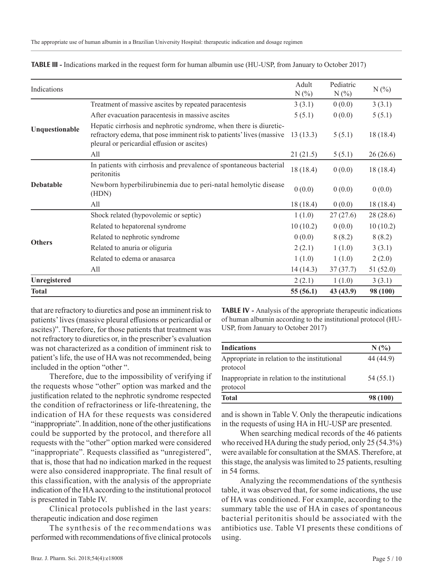| Indications      |                                                                                                                                                                                           | Adult<br>$N(\%)$ | Pediatric<br>$N(\%)$ | $N(\%)$  |
|------------------|-------------------------------------------------------------------------------------------------------------------------------------------------------------------------------------------|------------------|----------------------|----------|
|                  | Treatment of massive ascites by repeated paracentesis                                                                                                                                     | 3(3.1)           | 0(0.0)               | 3(3.1)   |
|                  | After evacuation paracentesis in massive ascites                                                                                                                                          | 5(5.1)           | 0(0.0)               | 5(5.1)   |
| Unquestionable   | Hepatic cirrhosis and nephrotic syndrome, when there is diuretic-<br>refractory edema, that pose imminent risk to patients' lives (massive<br>pleural or pericardial effusion or ascites) | 13(13.3)         | 5(5.1)               | 18(18.4) |
|                  | All                                                                                                                                                                                       | 21(21.5)         | 5(5.1)               | 26(26.6) |
|                  | In patients with cirrhosis and prevalence of spontaneous bacterial<br>peritonitis                                                                                                         | 18(18.4)         | 0(0.0)               | 18(18.4) |
| <b>Debatable</b> | Newborn hyperbilirubinemia due to peri-natal hemolytic disease<br>(HDN)                                                                                                                   | 0(0.0)           | 0(0.0)               | 0(0.0)   |
|                  | All                                                                                                                                                                                       | 18(18.4)         | 0(0.0)               | 18(18.4) |
|                  | Shock related (hypovolemic or septic)                                                                                                                                                     | 1(1.0)           | 27(27.6)             | 28(28.6) |
|                  | Related to hepatorenal syndrome                                                                                                                                                           | 10(10.2)         | 0(0.0)               | 10(10.2) |
|                  | Related to nephrotic syndrome                                                                                                                                                             | 0(0.0)           | 8(8.2)               | 8(8.2)   |
| <b>Others</b>    | Related to anuria or oliguria                                                                                                                                                             | 2(2.1)           | 1(1.0)               | 3(3.1)   |
|                  | Related to edema or anasarca                                                                                                                                                              | 1(1.0)           | 1(1.0)               | 2(2.0)   |
|                  | All                                                                                                                                                                                       | 14(14.3)         | 37(37.7)             | 51(52.0) |
| Unregistered     |                                                                                                                                                                                           | 2(2.1)           | 1(1.0)               | 3(3.1)   |
| <b>Total</b>     |                                                                                                                                                                                           | 55(56.1)         | 43 (43.9)            | 98 (100) |

**TABLE III -** Indications marked in the request form for human albumin use (HU-USP, from January to October 2017)

that are refractory to diuretics and pose an imminent risk to patients' lives (massive pleural effusions or pericardial or ascites)". Therefore, for those patients that treatment was not refractory to diuretics or, in the prescriber's evaluation was not characterized as a condition of imminent risk to patient's life, the use of HA was not recommended, being included in the option "other ".

Therefore, due to the impossibility of verifying if the requests whose "other" option was marked and the justification related to the nephrotic syndrome respected the condition of refractoriness or life-threatening, the indication of HA for these requests was considered "inappropriate". In addition, none of the other justifications could be supported by the protocol, and therefore all requests with the "other" option marked were considered "inappropriate". Requests classified as "unregistered", that is, those that had no indication marked in the request were also considered inappropriate. The final result of this classification, with the analysis of the appropriate indication of the HA according to the institutional protocol is presented in Table IV.

Clinical protocols published in the last years: therapeutic indication and dose regimen

The synthesis of the recommendations was performed with recommendations of five clinical protocols **TABLE IV -** Analysis of the appropriate therapeutic indications of human albumin according to the institutional protocol (HU-USP, from January to October 2017)

| <b>Indications</b>                                         | $N(\%)$   |
|------------------------------------------------------------|-----------|
| Appropriate in relation to the institutional<br>protocol   | 44 (44.9) |
| Inappropriate in relation to the institutional<br>protocol | 54 (55.1) |
| <b>Total</b>                                               | 98 (100)  |

and is shown in Table V. Only the therapeutic indications in the requests of using HA in HU-USP are presented.

When searching medical records of the 46 patients who received HA during the study period, only 25 (54.3%) were available for consultation at the SMAS. Therefore, at this stage, the analysis was limited to 25 patients, resulting in 54 forms.

Analyzing the recommendations of the synthesis table, it was observed that, for some indications, the use of HA was conditioned. For example, according to the summary table the use of HA in cases of spontaneous bacterial peritonitis should be associated with the antibiotics use. Table VI presents these conditions of using.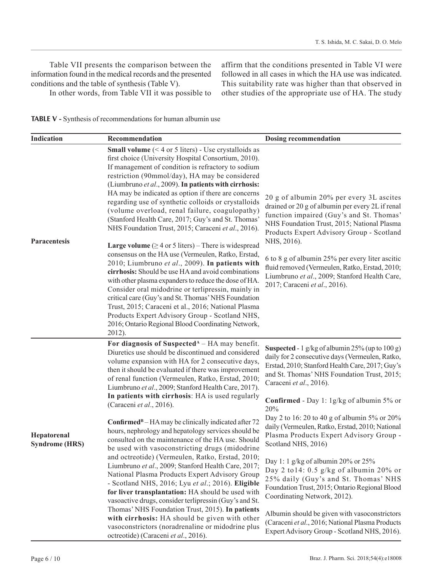Table VII presents the comparison between the information found in the medical records and the presented conditions and the table of synthesis (Table V).

affirm that the conditions presented in Table VI were followed in all cases in which the HA use was indicated. This suitability rate was higher than that observed in other studies of the appropriate use of HA. The study

**TABLE V -** Synthesis of recommendations for human albumin use

In other words, from Table VII it was possible to

| <b>Indication</b>                    | Recommendation                                                                                                                                                                                                                                                                                                                                                                                                                                                                                                                                                                  | Dosing recommendation                                                                                                                                                                                                                                                               |  |
|--------------------------------------|---------------------------------------------------------------------------------------------------------------------------------------------------------------------------------------------------------------------------------------------------------------------------------------------------------------------------------------------------------------------------------------------------------------------------------------------------------------------------------------------------------------------------------------------------------------------------------|-------------------------------------------------------------------------------------------------------------------------------------------------------------------------------------------------------------------------------------------------------------------------------------|--|
|                                      | <b>Small volume</b> (< 4 or 5 liters) - Use crystalloids as<br>first choice (University Hospital Consortium, 2010).<br>If management of condition is refractory to sodium<br>restriction (90mmol/day), HA may be considered<br>(Liumbruno et al., 2009). In patients with cirrhosis:<br>HA may be indicated as option if there are concerns<br>regarding use of synthetic colloids or crystalloids<br>(volume overload, renal failure, coagulopathy)<br>(Stanford Health Care, 2017; Guy's and St. Thomas'<br>NHS Foundation Trust, 2015; Caraceni et al., 2016).               | 20 g of albumin 20% per every 3L ascites<br>drained or 20 g of albumin per every 2L if renal<br>function impaired (Guy's and St. Thomas'<br>NHS Foundation Trust, 2015; National Plasma<br>Products Expert Advisory Group - Scotland                                                |  |
| Paracentesis                         | <b>Large volume</b> ( $\geq 4$ or 5 liters) – There is widespread<br>consensus on the HA use (Vermeulen, Ratko, Erstad,<br>2010; Liumbruno et al., 2009). In patients with<br>cirrhosis: Should be use HA and avoid combinations<br>with other plasma expanders to reduce the dose of HA.<br>Consider oral midodrine or terlipressin, mainly in<br>critical care (Guy's and St. Thomas' NHS Foundation<br>Trust, 2015; Caraceni et al., 2016; National Plasma<br>Products Expert Advisory Group - Scotland NHS,<br>2016; Ontario Regional Blood Coordinating Network,<br>2012). | NHS, 2016).<br>6 to 8 g of albumin 25% per every liter ascitic<br>fluid removed (Vermeulen, Ratko, Erstad, 2010;<br>Liumbruno et al., 2009; Stanford Health Care,<br>2017; Caraceni et al., 2016).                                                                                  |  |
|                                      | For diagnosis of Suspected <sup>A</sup> - HA may benefit.<br>Diuretics use should be discontinued and considered<br>volume expansion with HA for 2 consecutive days,<br>then it should be evaluated if there was improvement<br>of renal function (Vermeulen, Ratko, Erstad, 2010;<br>Liumbruno et al., 2009; Stanford Health Care, 2017).<br>In patients with cirrhosis: HA is used regularly                                                                                                                                                                                  | <b>Suspected -</b> 1 g/kg of albumin 25% (up to 100 g)<br>daily for 2 consecutive days (Vermeulen, Ratko,<br>Erstad, 2010; Stanford Health Care, 2017; Guy's<br>and St. Thomas' NHS Foundation Trust, 2015;<br>Caraceni et al., 2016).<br>Confirmed - Day 1: 1g/kg of albumin 5% or |  |
| Hepatorenal<br><b>Syndrome (HRS)</b> | (Caraceni et al., 2016).<br>Confirmed <sup>B</sup> - HA may be clinically indicated after 72<br>hours, nephrology and hepatology services should be<br>consulted on the maintenance of the HA use. Should<br>be used with vasoconstricting drugs (midodrine                                                                                                                                                                                                                                                                                                                     | 20%<br>Day 2 to 16: 20 to 40 g of albumin 5% or 20%<br>daily (Vermeulen, Ratko, Erstad, 2010; National<br>Plasma Products Expert Advisory Group -<br>Scotland NHS, 2016)                                                                                                            |  |
|                                      | and octreotide) (Vermeulen, Ratko, Erstad, 2010;<br>Liumbruno et al., 2009; Stanford Health Care, 2017;<br>National Plasma Products Expert Advisory Group<br>- Scotland NHS, 2016; Lyu et al.; 2016). Eligible<br>for liver transplantation: HA should be used with<br>vasoactive drugs, consider terlipressin (Guy's and St.                                                                                                                                                                                                                                                   | Day 1: 1 g/kg of albumin 20% or $25%$<br>Day 2 to 14: $0.5$ g/kg of albumin 20% or<br>25% daily (Guy's and St. Thomas' NHS<br>Foundation Trust, 2015; Ontario Regional Blood<br>Coordinating Network, 2012).                                                                        |  |
|                                      | Thomas' NHS Foundation Trust, 2015). In patients<br>with cirrhosis: HA should be given with other<br>vasoconstrictors (noradrenaline or midodrine plus<br>octreotide) (Caraceni et al., 2016).                                                                                                                                                                                                                                                                                                                                                                                  | Albumin should be given with vasoconstrictors<br>(Caraceni et al., 2016; National Plasma Products<br>Expert Advisory Group - Scotland NHS, 2016).                                                                                                                                   |  |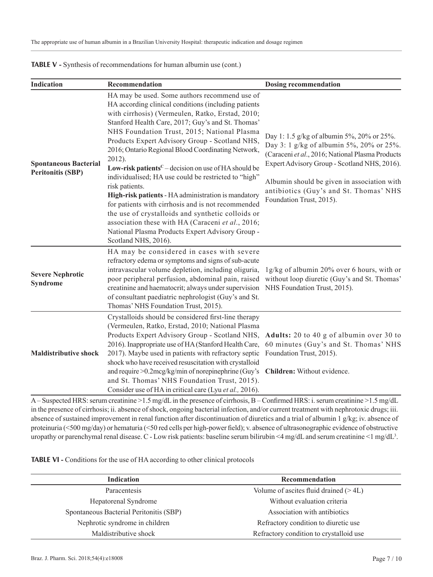| <b>Indication</b>                                        | Recommendation                                                                                                                                                                                                                                                                                                                                                                                                                                                                                                                                                                                                                                                                                                                                                                                                                                | <b>Dosing recommendation</b>                                                                                                                                                                                                                                                                                    |
|----------------------------------------------------------|-----------------------------------------------------------------------------------------------------------------------------------------------------------------------------------------------------------------------------------------------------------------------------------------------------------------------------------------------------------------------------------------------------------------------------------------------------------------------------------------------------------------------------------------------------------------------------------------------------------------------------------------------------------------------------------------------------------------------------------------------------------------------------------------------------------------------------------------------|-----------------------------------------------------------------------------------------------------------------------------------------------------------------------------------------------------------------------------------------------------------------------------------------------------------------|
| <b>Spontaneous Bacterial</b><br><b>Peritonitis (SBP)</b> | HA may be used. Some authors recommend use of<br>HA according clinical conditions (including patients<br>with cirrhosis) (Vermeulen, Ratko, Erstad, 2010;<br>Stanford Health Care, 2017; Guy's and St. Thomas'<br>NHS Foundation Trust, 2015; National Plasma<br>Products Expert Advisory Group - Scotland NHS,<br>2016; Ontario Regional Blood Coordinating Network,<br>2012).<br>Low-risk patients <sup><math>c</math></sup> – decision on use of HA should be<br>individualised; HA use could be restricted to "high"<br>risk patients.<br>High-risk patients - HA administration is mandatory<br>for patients with cirrhosis and is not recommended<br>the use of crystalloids and synthetic colloids or<br>association these with HA (Caraceni et al., 2016;<br>National Plasma Products Expert Advisory Group -<br>Scotland NHS, 2016). | Day 1: 1.5 g/kg of albumin 5%, 20% or 25%.<br>Day 3: 1 g/kg of albumin 5%, 20% or 25%.<br>(Caraceni et al., 2016; National Plasma Products<br>Expert Advisory Group - Scotland NHS, 2016).<br>Albumin should be given in association with<br>antibiotics (Guy's and St. Thomas' NHS<br>Foundation Trust, 2015). |
| <b>Severe Nephrotic</b><br><b>Syndrome</b>               | HA may be considered in cases with severe<br>refractory edema or symptoms and signs of sub-acute<br>intravascular volume depletion, including oliguria,<br>poor peripheral perfusion, abdominal pain, raised<br>creatinine and haematocrit; always under supervision NHS Foundation Trust, 2015).<br>of consultant paediatric nephrologist (Guy's and St.<br>Thomas' NHS Foundation Trust, 2015).                                                                                                                                                                                                                                                                                                                                                                                                                                             | 1g/kg of albumin 20% over 6 hours, with or<br>without loop diuretic (Guy's and St. Thomas'                                                                                                                                                                                                                      |
| <b>Maldistributive shock</b>                             | Crystalloids should be considered first-line therapy<br>(Vermeulen, Ratko, Erstad, 2010; National Plasma<br>Products Expert Advisory Group - Scotland NHS, Adults: 20 to 40 g of albumin over 30 to<br>2016). Inappropriate use of HA (Stanford Health Care, 60 minutes (Guy's and St. Thomas' NHS<br>2017). Maybe used in patients with refractory septic Foundation Trust, 2015).<br>shock who have received resuscitation with crystalloid<br>and require >0.2mcg/kg/min of norepinephrine (Guy's Children: Without evidence.<br>and St. Thomas' NHS Foundation Trust, 2015).<br>Consider use of HA in critical care (Lyu et al., 2016).                                                                                                                                                                                                   |                                                                                                                                                                                                                                                                                                                 |

#### **TABLE V** - Synthesis of recommendations for human albumin use (cont.)

A – Suspected HRS: serum creatinine >1.5 mg/dL in the presence of cirrhosis, B – Confirmed HRS: i. serum creatinine >1.5 mg/dL in the presence of cirrhosis; ii. absence of shock, ongoing bacterial infection, and/or current treatment with nephrotoxic drugs; iii. absence of sustained improvement in renal function after discontinuation of diuretics and a trial of albumin 1 g/kg; iv. absence of proteinuria (<500 mg/day) or hematuria (<50 red cells per high-power field); v. absence of ultrasonographic evidence of obstructive uropathy or parenchymal renal disease. C - Low risk patients: baseline serum bilirubin <4 mg/dL and serum creatinine <1 mg/dL<sup>3</sup>.

**TABLE VI** - Conditions for the use of HA according to other clinical protocols

| Indication                              | Recommendation                          |
|-----------------------------------------|-----------------------------------------|
| Paracentesis                            | Volume of ascites fluid drained $(>4L)$ |
| Hepatorenal Syndrome                    | Without evaluation criteria             |
| Spontaneous Bacterial Peritonitis (SBP) | Association with antibiotics            |
| Nephrotic syndrome in children          | Refractory condition to diuretic use    |
| Maldistributive shock                   | Refractory condition to crystalloid use |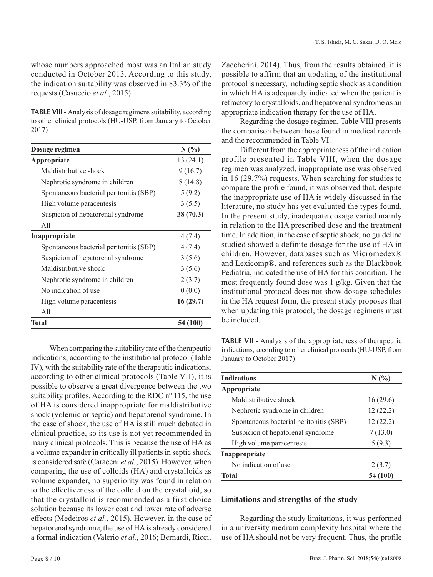whose numbers approached most was an Italian study conducted in October 2013. According to this study, the indication suitability was observed in 83.3% of the requests (Casuccio *et al.*, 2015).

**TABLE VIII -** Analysis of dosage regimens suitability, according to other clinical protocols (HU-USP, from January to October 2017)

| Dosage regimen                          | $N(\%)$   |  |
|-----------------------------------------|-----------|--|
| Appropriate                             | 13(24.1)  |  |
| Maldistributive shock                   | 9(16.7)   |  |
| Nephrotic syndrome in children          | 8 (14.8)  |  |
| Spontaneous bacterial peritonitis (SBP) | 5(9.2)    |  |
| High volume paracentesis                | 3(5.5)    |  |
| Suspicion of hepatorenal syndrome       | 38 (70.3) |  |
| A <sup>11</sup>                         |           |  |
| Inappropriate                           | 4(7.4)    |  |
| Spontaneous bacterial peritonitis (SBP) | 4(7.4)    |  |
| Suspicion of hepatorenal syndrome       | 3(5.6)    |  |
| Maldistributive shock                   | 3(5.6)    |  |
| Nephrotic syndrome in children          | 2(3.7)    |  |
| No indication of use                    | 0(0.0)    |  |
| High volume paracentesis                | 16(29.7)  |  |
| A11                                     |           |  |
| Total                                   | 54 (100)  |  |

When comparing the suitability rate of the therapeutic indications, according to the institutional protocol (Table IV), with the suitability rate of the therapeutic indications, according to other clinical protocols (Table VII), it is possible to observe a great divergence between the two suitability profiles. According to the RDC n<sup>o</sup> 115, the use of HA is considered inappropriate for maldistributive shock (volemic or septic) and hepatorenal syndrome. In the case of shock, the use of HA is still much debated in clinical practice, so its use is not yet recommended in many clinical protocols. This is because the use of HA as a volume expander in critically ill patients in septic shock is considered safe (Caraceni *et al.*, 2015). However, when comparing the use of colloids (HA) and crystalloids as volume expander, no superiority was found in relation to the effectiveness of the colloid on the crystalloid, so that the crystalloid is recommended as a first choice solution because its lower cost and lower rate of adverse effects (Medeiros *et al.*, 2015). However, in the case of hepatorenal syndrome, the use of HA is already considered a formal indication (Valerio *et al.*, 2016; Bernardi, Ricci,

Zaccherini, 2014). Thus, from the results obtained, it is possible to affirm that an updating of the institutional protocol is necessary, including septic shock as a condition in which HA is adequately indicated when the patient is refractory to crystalloids, and hepatorenal syndrome as an appropriate indication therapy for the use of HA.

Regarding the dosage regimen, Table VIII presents the comparison between those found in medical records and the recommended in Table VI.

Different from the appropriateness of the indication profile presented in Table VIII, when the dosage regimen was analyzed, inappropriate use was observed in 16 (29.7%) requests. When searching for studies to compare the profile found, it was observed that, despite the inappropriate use of HA is widely discussed in the literature, no study has yet evaluated the types found. In the present study, inadequate dosage varied mainly in relation to the HA prescribed dose and the treatment time. In addition, in the case of septic shock, no guideline studied showed a definite dosage for the use of HA in children. However, databases such as Micromedex® and Lexicomp®, and references such as the Blackbook Pediatria, indicated the use of HA for this condition. The most frequently found dose was 1 g/kg. Given that the institutional protocol does not show dosage schedules in the HA request form, the present study proposes that when updating this protocol, the dosage regimens must be included.

**TABLE VII -** Analysis of the appropriateness of therapeutic indications, according to other clinical protocols (HU-USP, from January to October 2017)

| <b>Indications</b>                      | $N(\%)$  |  |
|-----------------------------------------|----------|--|
| Appropriate                             |          |  |
| Maldistributive shock                   | 16(29.6) |  |
| Nephrotic syndrome in children          | 12(22.2) |  |
| Spontaneous bacterial peritonitis (SBP) | 12(22.2) |  |
| Suspicion of hepatorenal syndrome       | 7(13.0)  |  |
| High volume paracentesis                | 5(9.3)   |  |
| Inappropriate                           |          |  |
| No indication of use                    | 2(3.7)   |  |
| <b>Total</b>                            | 54 (100) |  |

### **Limitations and strengths of the study**

Regarding the study limitations, it was performed in a university medium complexity hospital where the use of HA should not be very frequent. Thus, the profile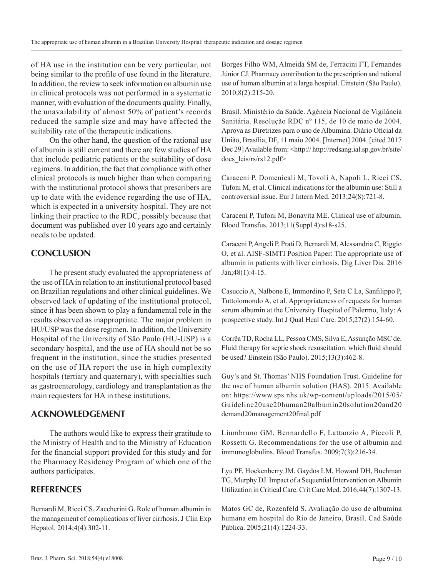of HA use in the institution can be very particular, not being similar to the profile of use found in the literature. In addition, the review to seek information on albumin use in clinical protocols was not performed in a systematic manner, with evaluation of the documents quality. Finally, the unavailability of almost 50% of patient's records reduced the sample size and may have affected the suitability rate of the therapeutic indications.

On the other hand, the question of the rational use of albumin is still current and there are few studies of HA that include pediatric patients or the suitability of dose regimens. In addition, the fact that compliance with other clinical protocols is much higher than when comparing with the institutional protocol shows that prescribers are up to date with the evidence regarding the use of HA, which is expected in a university hospital. They are not linking their practice to the RDC, possibly because that document was published over 10 years ago and certainly needs to be updated.

## **CONCLUSION**

The present study evaluated the appropriateness of the use of HA in relation to an institutional protocol based on Brazilian regulations and other clinical guidelines. We observed lack of updating of the institutional protocol, since it has been shown to play a fundamental role in the results observed as inappropriate. The major problem in HU/USP was the dose regimen. In addition, the University Hospital of the University of São Paulo (HU-USP) is a secondary hospital, and the use of HA should not be so frequent in the institution, since the studies presented on the use of HA report the use in high complexity hospitals (tertiary and quaternary), with specialties such as gastroenterology, cardiology and transplantation as the main requesters for HA in these institutions.

## **ACKNOWLEDGEMENT**

The authors would like to express their gratitude to the Ministry of Health and to the Ministry of Education for the financial support provided for this study and for the Pharmacy Residency Program of which one of the authors participates.

## **REFERENCES**

Bernardi M, Ricci CS, Zaccherini G. Role of human albumin in the management of complications of liver cirrhosis. J Clin Exp Hepatol. 2014;4(4):302-11.

Borges Filho WM, Almeida SM de, Ferracini FT, Fernandes Júnior CJ. Pharmacy contribution to the prescription and rational use of human albumin at a large hospital. Einstein (São Paulo). 2010;8(2):215-20.

Brasil. Ministério da Saúde. Agência Nacional de Vigilância Sanitária. Resolução RDC nº 115, de 10 de maio de 2004. Aprova as Diretrizes para o uso de Albumina. Diário Oficial da União, Brasília, DF, 11 maio 2004. [Internet] 2004. [cited 2017 Dec 29] Available from: <http:// [http://redsang.ial.sp.gov.br/site/](http://redsang.ial.sp.gov.br/site/docs_leis/rs/rs12.pdf) [docs\\_leis/rs/rs12.pdf>](http://redsang.ial.sp.gov.br/site/docs_leis/rs/rs12.pdf)

Caraceni P, Domenicali M, Tovoli A, Napoli L, Ricci CS, Tufoni M, et al. Clinical indications for the albumin use: Still a controversial issue. Eur J Intern Med. 2013;24(8):721-8.

Caraceni P, Tufoni M, Bonavita ME. Clinical use of albumin. Blood Transfus. 2013;11(Suppl 4):s18-s25.

Caraceni P, Angeli P, Prati D, Bernardi M, Alessandria C, Riggio O, et al. AISF-SIMTI Position Paper: The appropriate use of albumin in patients with liver cirrhosis. Dig Liver Dis. 2016 Jan;48(1):4-15.

Casuccio A, Nalbone E, Immordino P, Seta C La, Sanfilippo P, Tuttolomondo A, et al. Appropriateness of requests for human serum albumin at the University Hospital of Palermo, Italy: A prospective study. Int J Qual Heal Care. 2015;27(2):154-60.

Corrêa TD, Rocha LL, Pessoa CMS, Silva E, Assunção MSC de. Fluid therapy for septic shock resuscitation: which fluid should be used? Einstein (São Paulo). 2015;13(3):462-8.

Guy's and St. Thomas' NHS Foundation Trust. Guideline for the use of human albumin solution (HAS). 2015. Available on: [https://www.sps.nhs.uk/wp-content/uploads/2015/05/](https://www.sps.nhs.uk/wp-content/uploads/2015/05/Guideline20use20human20albumin20solution20and20demand20management20final.pdf) [Guideline20use20human20albumin20solution20and20](https://www.sps.nhs.uk/wp-content/uploads/2015/05/Guideline20use20human20albumin20solution20and20demand20management20final.pdf) [demand20management20final.pdf](https://www.sps.nhs.uk/wp-content/uploads/2015/05/Guideline20use20human20albumin20solution20and20demand20management20final.pdf)

Liumbruno GM, Bennardello F, Lattanzio A, Piccoli P, Rossetti G. Recommendations for the use of albumin and immunoglobulins. Blood Transfus. 2009;7(3):216-34.

Lyu PF, Hockenberry JM, Gaydos LM, Howard DH, Buchman TG, Murphy DJ. Impact of a Sequential Intervention on Albumin Utilization in Critical Care. Crit Care Med. 2016;44(7):1307-13.

Matos GC de, Rozenfeld S. Avaliação do uso de albumina humana em hospital do Rio de Janeiro, Brasil. Cad Saúde Pública. 2005;21(4):1224-33.